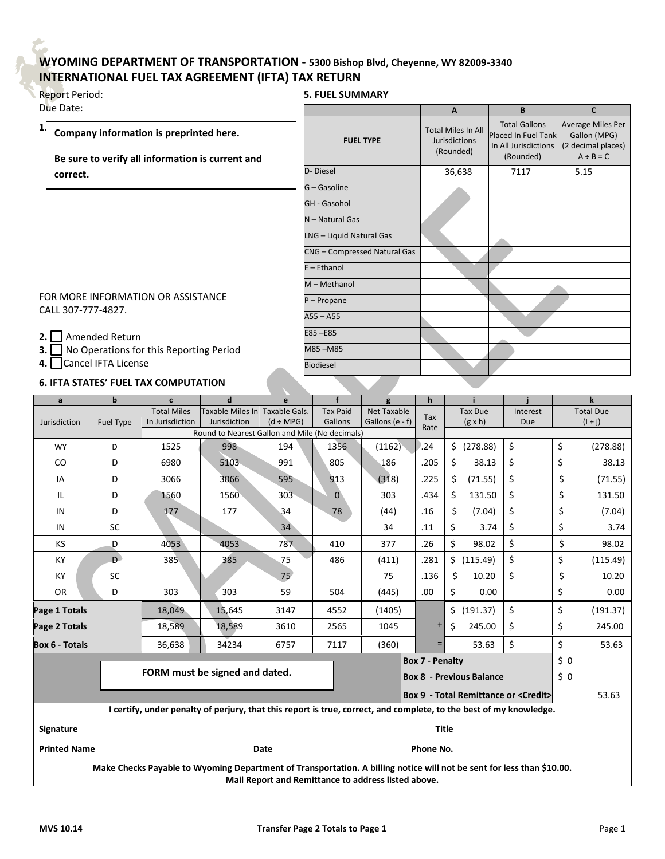## **WYOMING DEPARTMENT OF TRANSPORTATION - 5300 Bishop Blvd, Cheyenne, WY 82009-3340 INTERNATIONAL FUEL TAX AGREEMENT (IFTA) TAX RETURN**

| <b>Report Period:</b> |
|-----------------------|
| Due Date:             |

**1.**

## **5. FUEL SUMMARY**

| e Date:                                                                                     |                              | A                                                              | <b>B</b>                                                                         | $\mathbf{C}$                                                              |
|---------------------------------------------------------------------------------------------|------------------------------|----------------------------------------------------------------|----------------------------------------------------------------------------------|---------------------------------------------------------------------------|
| Company information is preprinted here.<br>Be sure to verify all information is current and | <b>FUEL TYPE</b>             | <b>Total Miles In All</b><br><b>Jurisdictions</b><br>(Rounded) | <b>Total Gallons</b><br>Placed In Fuel Tank<br>In All Jurisdictions<br>(Rounded) | Average Miles Per<br>Gallon (MPG)<br>(2 decimal places)<br>$A \div B = C$ |
| correct.                                                                                    | D-Diesel                     | 36,638                                                         | 7117                                                                             | 5.15                                                                      |
|                                                                                             | G - Gasoline                 |                                                                |                                                                                  |                                                                           |
|                                                                                             | GH - Gasohol                 |                                                                |                                                                                  |                                                                           |
|                                                                                             | N - Natural Gas              |                                                                |                                                                                  |                                                                           |
|                                                                                             | LNG - Liquid Natural Gas     |                                                                |                                                                                  |                                                                           |
|                                                                                             | CNG - Compressed Natural Gas |                                                                |                                                                                  |                                                                           |
|                                                                                             | $E -$ Ethanol                |                                                                |                                                                                  |                                                                           |
|                                                                                             | M - Methanol                 |                                                                |                                                                                  |                                                                           |
| R MORE INFORMATION OR ASSISTANCE<br>LL 307-777-4827.                                        | $P - Propane$                |                                                                |                                                                                  |                                                                           |
|                                                                                             | $A55 - A55$                  |                                                                |                                                                                  |                                                                           |
| Amended Return                                                                              | $E85 - E85$                  |                                                                |                                                                                  |                                                                           |
| No Operations for this Reporting Period                                                     | M85-M85                      |                                                                |                                                                                  |                                                                           |
| Cancel IFTA License                                                                         | <b>Biodiesel</b>             |                                                                |                                                                                  |                                                                           |
| FTA STATES' FUEL TAX COMPUTATION                                                            |                              |                                                                |                                                                                  |                                                                           |

FOR MORE INFORMATION OR CALL 307-777-4827.

**2.** Amended Return

**3.** No Operations for this Report

**4.** Cancel IFTA License

## **6. IFTA STATES' FUEL TAX COMPUTATION**

| a                                                                                                                                                                            | $\mathbf b$      | $\mathbf{c}$       | $\mathbf d$                    | e               | $\mathbf{f}$    | g                  | $\mathbf{h}$                           | i.                                                   |          |     | k                |
|------------------------------------------------------------------------------------------------------------------------------------------------------------------------------|------------------|--------------------|--------------------------------|-----------------|-----------------|--------------------|----------------------------------------|------------------------------------------------------|----------|-----|------------------|
| Jurisdiction                                                                                                                                                                 |                  | <b>Total Miles</b> | <b>Taxable Miles In</b>        | Taxable Gals.   | <b>Tax Paid</b> | <b>Net Taxable</b> | Tax                                    | <b>Tax Due</b>                                       | Interest |     | <b>Total Due</b> |
|                                                                                                                                                                              | <b>Fuel Type</b> | In Jurisdiction    | Jurisdiction                   | $(d \div MPG)$  | Gallons         | Gallons (e - f)    | Rate                                   | $(g \times h)$                                       | Due      |     | $(1 + j)$        |
| Round to Nearest Gallon and Mile (No decimals)                                                                                                                               |                  |                    |                                |                 |                 |                    |                                        |                                                      |          |     |                  |
| <b>WY</b>                                                                                                                                                                    | D                | 1525               | 998                            | 194             | 1356            | (1162)             | .24                                    | \$ (278.88)                                          | \$       | \$  | (278.88)         |
| <sub>co</sub>                                                                                                                                                                | D                | 6980               | 5103                           | 991             | 805             | 186                | .205                                   | Ś.<br>38.13                                          | \$       | \$  | 38.13            |
| IA                                                                                                                                                                           | D                | 3066               | 3066                           | 595             | 913             | (318)              | .225                                   | Ś<br>(71.55)                                         | \$       | \$  | (71.55)          |
| IL                                                                                                                                                                           | D                | 1560               | 1560                           | 303             | $\overline{0}$  | 303                | .434                                   | Ś.<br>131.50                                         | \$       | \$  | 131.50           |
| IN                                                                                                                                                                           | D                | 177                | 177                            | 34              | 78              | (44)               | .16                                    | \$<br>(7.04)                                         | \$       | \$  | (7.04)           |
| IN                                                                                                                                                                           | <b>SC</b>        |                    |                                | 34 <sup>°</sup> |                 | 34                 | .11                                    | \$<br>3.74                                           | \$       | \$  | 3.74             |
| KS                                                                                                                                                                           | D                | 4053               | 4053                           | 787             | 410             | 377                | .26                                    | \$<br>98.02                                          | \$       | \$  | 98.02            |
| KY                                                                                                                                                                           | $\mathsf{D}$     | 385                | 385                            | 75              | 486             | (411)              | .281                                   | \$ (115.49)                                          | \$       | \$  | (115.49)         |
| KY                                                                                                                                                                           | <b>SC</b>        |                    |                                | 75'             |                 | 75                 | .136                                   | \$<br>10.20                                          | \$       | \$  | 10.20            |
| <b>OR</b>                                                                                                                                                                    | D                | 303                | 303                            | 59              | 504             | (445)              | .00.                                   | \$<br>0.00                                           |          | \$  | 0.00             |
| Page 1 Totals                                                                                                                                                                |                  | 18,049             | 15,645                         | 3147            | 4552            | (1405)             |                                        | \$ (191.37)                                          | \$       | \$  | (191.37)         |
| Page 2 Totals                                                                                                                                                                |                  | 18,589             | 18,589                         | 3610            | 2565            | 1045               | $\ddot{}$                              | \$<br>245.00                                         | \$       | \$  | 245.00           |
| <b>Box 6 - Totals</b>                                                                                                                                                        |                  | 36,638             | 34234                          | 6757            | 7117            | (360)              | Ξ                                      | 53.63                                                | \$       | \$  | 53.63            |
|                                                                                                                                                                              |                  |                    |                                |                 |                 |                    | <b>Box 7 - Penalty</b>                 |                                                      |          | \$0 |                  |
|                                                                                                                                                                              |                  |                    | FORM must be signed and dated. |                 |                 |                    | \$0<br><b>Box 8 - Previous Balance</b> |                                                      |          |     |                  |
|                                                                                                                                                                              |                  |                    |                                |                 |                 |                    |                                        | <b>Box 9 - Total Remittance or <credit></credit></b> |          |     | 53.63            |
| I certify, under penalty of perjury, that this report is true, correct, and complete, to the best of my knowledge.                                                           |                  |                    |                                |                 |                 |                    |                                        |                                                      |          |     |                  |
| Title<br>Signature                                                                                                                                                           |                  |                    |                                |                 |                 |                    |                                        |                                                      |          |     |                  |
| <u> 1990 - Johann Barbara, politik eta politika</u><br><b>Printed Name</b><br>Date                                                                                           |                  |                    |                                |                 |                 | Phone No.          |                                        |                                                      |          |     |                  |
|                                                                                                                                                                              |                  |                    |                                |                 |                 |                    |                                        |                                                      |          |     |                  |
| Make Checks Payable to Wyoming Department of Transportation. A billing notice will not be sent for less than \$10.00.<br>Mail Report and Remittance to address listed above. |                  |                    |                                |                 |                 |                    |                                        |                                                      |          |     |                  |